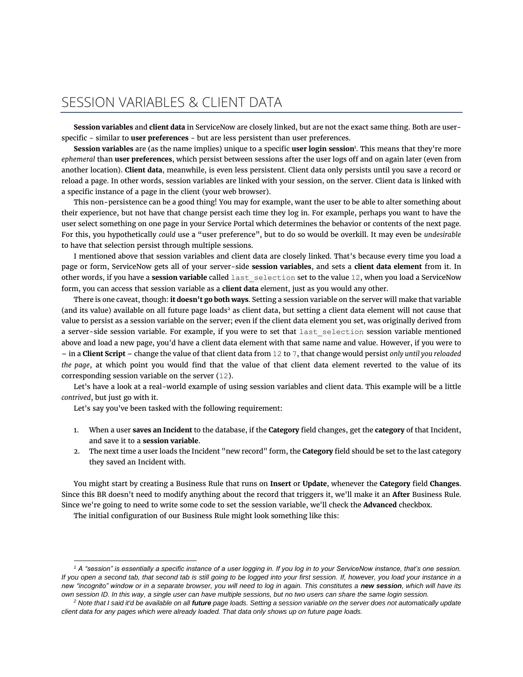## SESSION VARIABLES & CLIENT DATA

**Session variables** and **client data** in ServiceNow are closely linked, but are not the exact same thing. Both are userspecific - similar to **user preferences** - but are less persistent than user preferences.

**Session variables** are (as the name implies) unique to a specific **user login session**<sup>1</sup> . This means that they're more *ephemeral* than **user preferences**, which persist between sessions after the user logs off and on again later (even from another location). **Client data**, meanwhile, is even less persistent. Client data only persists until you save a record or reload a page. In other words, session variables are linked with your session, on the server. Client data is linked with a specific instance of a page in the client (your web browser).

This non-persistence can be a good thing! You may for example, want the user to be able to alter something about their experience, but not have that change persist each time they log in. For example, perhaps you want to have the user select something on one page in your Service Portal which determines the behavior or contents of the next page. For this, you hypothetically *could* use a "user preference", but to do so would be overkill. It may even be *undesirable* to have that selection persist through multiple sessions.

I mentioned above that session variables and client data are closely linked. That's because every time you load a page or form, ServiceNow gets all of your server-side **session variables**, and sets a **client data element** from it. In other words, if you have a **session variable** called last\_selection set to the value 12, when you load a ServiceNow form, you can access that session variable as a **client data** element, just as you would any other.

There is one caveat, though: **it doesn't go both ways**. Setting a session variable on the server will make that variable (and its value) available on all future page loads<sup>2</sup> as client data, but setting a client data element will not cause that value to persist as a session variable on the server; even if the client data element you set, was originally derived from a server-side session variable. For example, if you were to set that last selection session variable mentioned above and load a new page, you'd have a client data element with that same name and value. However, if you were to – in a **Client Script** – change the value of that client data from 12 to 7, that change would persist *only until you reloaded the page*, at which point you would find that the value of that client data element reverted to the value of its corresponding session variable on the server (12).

Let's have a look at a real-world example of using session variables and client data. This example will be a little *contrived*, but just go with it.

Let's say you've been tasked with the following requirement:

- 1. When a user **saves an Incident** to the database, if the **Category** field changes, get the **category** of that Incident, and save it to a **session variable**.
- 2. The next time a user loads the Incident "new record" form, the **Category** field should be set to the last category they saved an Incident with.

You might start by creating a Business Rule that runs on **Insert** or **Update**, whenever the **Category** field **Changes**. Since this BR doesn't need to modify anything about the record that triggers it, we'll make it an **After** Business Rule. Since we're going to need to write some code to set the session variable, we'll check the **Advanced** checkbox.

The initial configuration of our Business Rule might look something like this:

<sup>&</sup>lt;sup>1</sup> A "session" is essentially a specific instance of a user logging in. If you log in to your ServiceNow instance, that's one session. *If you open a second tab, that second tab is still going to be logged into your first session. If, however, you load your instance in a new "incognito" window or in a separate browser, you will need to log in again. This constitutes a new session, which will have its own session ID. In this way, a single user can have multiple sessions, but no two users can share the same login session.*

<sup>&</sup>lt;sup>2</sup> Note that I said it'd be available on all *future* page loads. Setting a session variable on the server does not automatically update *client data for any pages which were already loaded. That data only shows up on future page loads.*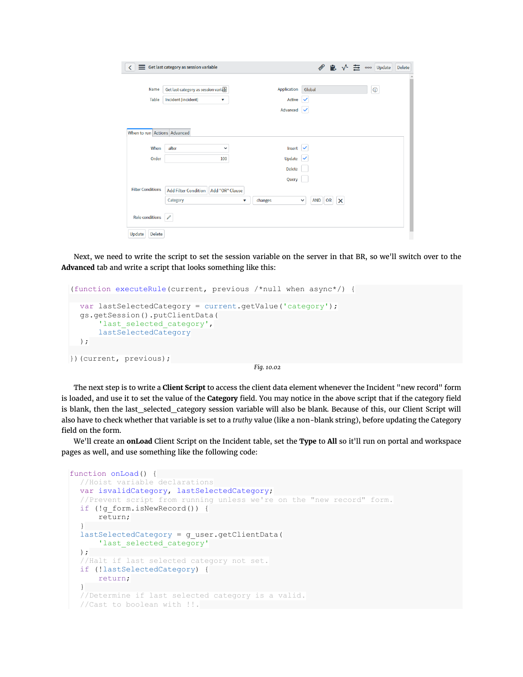|                              | Get last category as session variable                           |                       | ■ √                                          | $\equiv$ $\frac{1}{2}$ $\frac{1}{2}$ $\frac{1}{2}$ $\frac{1}{2}$ $\frac{1}{2}$ $\frac{1}{2}$ $\frac{1}{2}$ $\frac{1}{2}$ $\frac{1}{2}$ $\frac{1}{2}$ $\frac{1}{2}$ $\frac{1}{2}$ $\frac{1}{2}$ $\frac{1}{2}$ $\frac{1}{2}$ $\frac{1}{2}$ $\frac{1}{2}$ $\frac{1}{2}$ $\frac{1}{2}$ $\frac{1}{2}$ $\frac{1}{2}$ $\frac{1}{$<br>Delete |
|------------------------------|-----------------------------------------------------------------|-----------------------|----------------------------------------------|--------------------------------------------------------------------------------------------------------------------------------------------------------------------------------------------------------------------------------------------------------------------------------------------------------------------------------------|
| Name<br><b>Table</b>         | Get last category as session variab<br>Incident [incident]<br>v | Application<br>Active | Global<br>$\checkmark$                       | $\odot$                                                                                                                                                                                                                                                                                                                              |
|                              |                                                                 | Advanced              | $\checkmark$                                 |                                                                                                                                                                                                                                                                                                                                      |
| When to run Actions Advanced |                                                                 |                       |                                              |                                                                                                                                                                                                                                                                                                                                      |
| When                         | after<br>$\checkmark$                                           | Insert                |                                              |                                                                                                                                                                                                                                                                                                                                      |
| Order                        | 100                                                             | <b>Update</b>         |                                              |                                                                                                                                                                                                                                                                                                                                      |
|                              |                                                                 | <b>Delete</b>         |                                              |                                                                                                                                                                                                                                                                                                                                      |
|                              |                                                                 | Query                 |                                              |                                                                                                                                                                                                                                                                                                                                      |
| <b>Filter Conditions</b>     | <b>Add Filter Condition</b><br>Add "OR" Clause<br>Category      | changes<br>v          | OR<br><b>AND</b><br>$\times$<br>$\checkmark$ |                                                                                                                                                                                                                                                                                                                                      |
| <b>Role conditions</b>       | 0                                                               |                       |                                              |                                                                                                                                                                                                                                                                                                                                      |
| <b>Delete</b><br>Update      |                                                                 |                       |                                              |                                                                                                                                                                                                                                                                                                                                      |

Next, we need to write the script to set the session variable on the server in that BR, so we'll switch over to the **Advanced** tab and write a script that looks something like this:

```
(function executeRule(current, previous /*null when async*/) {
  var lastSelectedCategory = current.getValue('category');
  gs.getSession().putClientData(
      'last selected category',
      lastSelectedCategory
  );
})(current, previous);
```
*Fig. 10.02*

The next step is to write a **Client Script** to access the client data element whenever the Incident "new record" form is loaded, and use it to set the value of the **Category** field. You may notice in the above script that if the category field is blank, then the last\_selected\_category session variable will also be blank. Because of this, our Client Script will also have to check whether that variable is set to a *truthy* value (like a non-blank string), before updating the Category field on the form.

We'll create an **onLoad** Client Script on the Incident table, set the **Type** to **All** so it'll run on portal and workspace pages as well, and use something like the following code:

```
function onLoad() {
  //Hoist variable declarations
 var isvalidCategory, lastSelectedCategory;
  //Prevent script from running unless we're on the "new record" form.
  if (!g_form.isNewRecord()) {
      return;
  }
  lastSelectedCategory = g_user.getClientData(
      'last selected category'
  );
  //Halt if last selected category not set.
  if (!lastSelectedCategory) {
     return;
  }
  //Determine if last selected category is a valid.
  //Cast to boolean with !!.
```